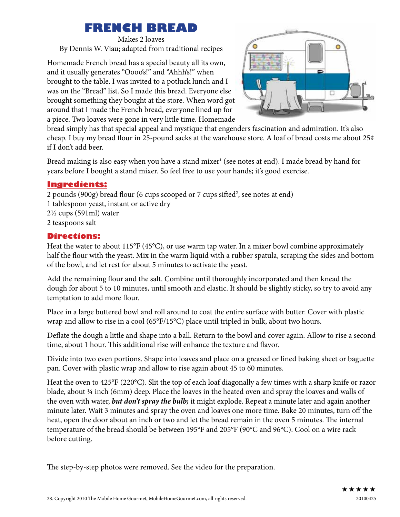## **FRENCH BREAD**

Makes 2 loaves By Dennis W. Viau; adapted from traditional recipes

Homemade French bread has a special beauty all its own, and it usually generates "Oooo's!" and "Ahhh's!" when brought to the table. I was invited to a potluck lunch and I was on the "Bread" list. So I made this bread. Everyone else brought something they bought at the store. When word got around that I made the French bread, everyone lined up for a piece. Two loaves were gone in very little time. Homemade



bread simply has that special appeal and mystique that engenders fascination and admiration. It's also cheap. I buy my bread flour in 25-pound sacks at the warehouse store. A loaf of bread costs me about 25¢ if I don't add beer.

Bread making is also easy when you have a stand mixer<sup>1</sup> (see notes at end). I made bread by hand for years before I bought a stand mixer. So feel free to use your hands; it's good exercise.

## **Ingredients:**

2 pounds (900g) bread flour (6 cups scooped or 7 cups sifted<sup>2</sup>, see notes at end) 1 tablespoon yeast, instant or active dry 2½ cups (591ml) water 2 teaspoons salt

## **Directions:**

Heat the water to about 115°F (45°C), or use warm tap water. In a mixer bowl combine approximately half the flour with the yeast. Mix in the warm liquid with a rubber spatula, scraping the sides and bottom of the bowl, and let rest for about 5 minutes to activate the yeast.

Add the remaining flour and the salt. Combine until thoroughly incorporated and then knead the dough for about 5 to 10 minutes, until smooth and elastic. It should be slightly sticky, so try to avoid any temptation to add more flour.

Place in a large buttered bowl and roll around to coat the entire surface with butter. Cover with plastic wrap and allow to rise in a cool (65°F/15°C) place until tripled in bulk, about two hours.

Deflate the dough a little and shape into a ball. Return to the bowl and cover again. Allow to rise a second time, about 1 hour. This additional rise will enhance the texture and flavor.

Divide into two even portions. Shape into loaves and place on a greased or lined baking sheet or baguette pan. Cover with plastic wrap and allow to rise again about 45 to 60 minutes.

Heat the oven to 425°F (220°C). Slit the top of each loaf diagonally a few times with a sharp knife or razor blade, about ¼ inch (6mm) deep. Place the loaves in the heated oven and spray the loaves and walls of the oven with water, *but don't spray the bulb;* it might explode. Repeat a minute later and again another minute later. Wait 3 minutes and spray the oven and loaves one more time. Bake 20 minutes, turn off the heat, open the door about an inch or two and let the bread remain in the oven 5 minutes. The internal temperature of the bread should be between 195°F and 205°F (90°C and 96°C). Cool on a wire rack before cutting.

The step-by-step photos were removed. See the video for the preparation.